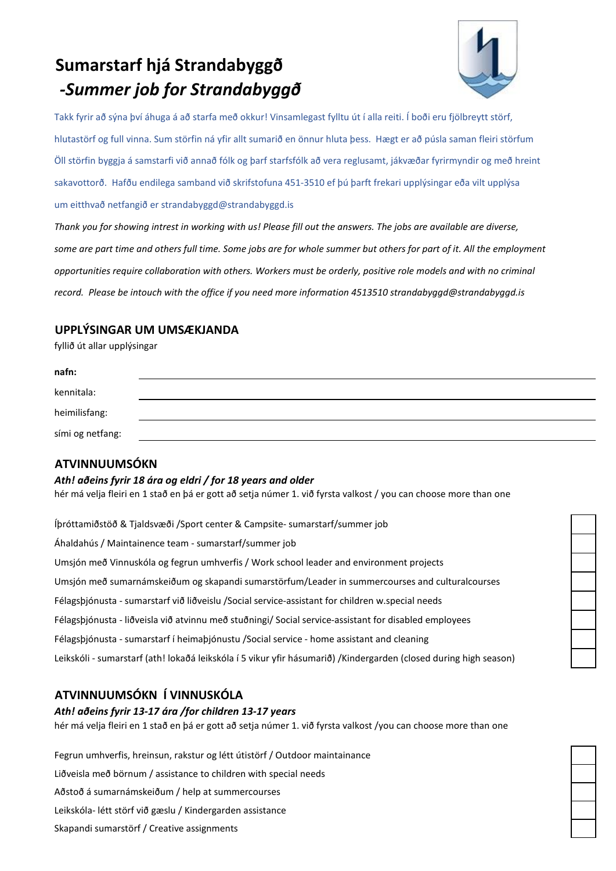# *-Summer job for Strandabyggð* **Sumarstarf hjá Strandabyggð**



Takk fyrir að sýna því áhuga á að starfa með okkur! Vinsamlegast fylltu út í alla reiti. Í boði eru fjölbreytt störf, hlutastörf og full vinna. Sum störfin ná yfir allt sumarið en önnur hluta þess. Hægt er að púsla saman fleiri störfum Öll störfin byggja á samstarfi við annað fólk og þarf starfsfólk að vera reglusamt, jákvæðar fyrirmyndir og með hreint sakavottorð. Hafðu endilega samband við skrifstofuna 451-3510 ef þú þarft frekari upplýsingar eða vilt upplýsa um eitthvað netfangið er strandabyggd@strandabyggd.is

*Thank you for showing intrest in working with us! Please fill out the answers. The jobs are available are diverse, some are part time and others full time. Some jobs are for whole summer but others for part of it. All the employment opportunities require collaboration with others. Workers must be orderly, positive role models and with no criminal record. Please be intouch with the office if you need more information 4513510 strandabyggd@strandabyggd.is*

## **UPPLÝSINGAR UM UMSÆKJANDA**

fyllið út allar upplýsingar

| nafn:            |  |
|------------------|--|
| kennitala:       |  |
| heimilisfang:    |  |
| sími og netfang: |  |

## **ATVINNUUMSÓKN**

#### *Ath! aðeins fyrir 18 ára og eldri / for 18 years and older*

hér má velja fleiri en 1 stað en þá er gott að setja númer 1. við fyrsta valkost / you can choose more than one

Íþróttamiðstöð & Tjaldsvæði /Sport center & Campsite- sumarstarf/summer job Áhaldahús / Maintainence team - sumarstarf/summer job Umsjón með Vinnuskóla og fegrun umhverfis / Work school leader and environment projects Umsjón með sumarnámskeiðum og skapandi sumarstörfum/Leader in summercourses and culturalcourses Félagsþjónusta - sumarstarf við liðveislu /Social service-assistant for children w.special needs Félagsþjónusta - liðveisla við atvinnu með stuðningi/ Social service-assistant for disabled employees Félagsþjónusta - sumarstarf í heimaþjónustu /Social service - home assistant and cleaning Leikskóli - sumarstarf (ath! lokaðá leikskóla í 5 vikur yfir hásumarið) /Kindergarden (closed during high season)

## **ATVINNUUMSÓKN Í VINNUSKÓLA**

#### *Ath! aðeins fyrir 13-17 ára /for children 13-17 years*

hér má velja fleiri en 1 stað en þá er gott að setja númer 1. við fyrsta valkost /you can choose more than one

Fegrun umhverfis, hreinsun, rakstur og létt útistörf / Outdoor maintainance Liðveisla með börnum / assistance to children with special needs Aðstoð á sumarnámskeiðum / help at summercourses Leikskóla- létt störf við gæslu / Kindergarden assistance Skapandi sumarstörf / Creative assignments